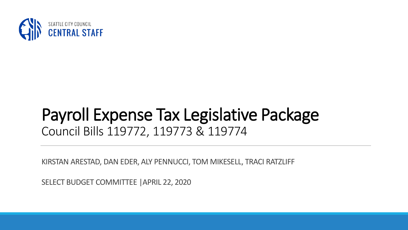

### Payroll Expense Tax Legislative Package Council Bills 119772, 119773 & 119774

KIRSTAN ARESTAD, DAN EDER, ALY PENNUCCI, TOM MIKESELL, TRACI RATZLIFF

SELECT BUDGET COMMITTEE |APRIL 22, 2020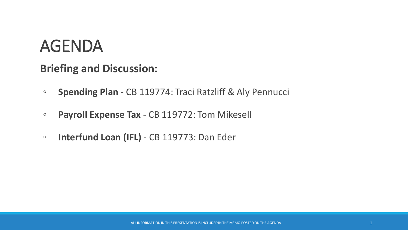### AGENDA

### **Briefing and Discussion:**

- **Spending Plan** CB 119774: Traci Ratzliff & Aly Pennucci
- **Payroll Expense Tax**  CB 119772: Tom Mikesell
- **Interfund Loan (IFL)** CB 119773: Dan Eder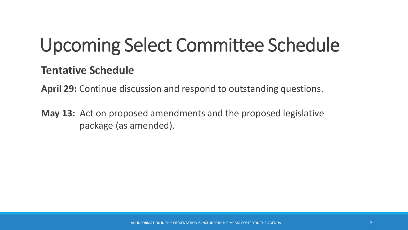# Upcoming Select Committee Schedule

### **Tentative Schedule**

**April 29:** Continue discussion and respond to outstanding questions.

**May 13:** Act on proposed amendments and the proposed legislative package (as amended).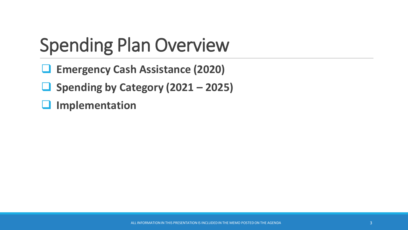# Spending Plan Overview

- ❑ **Emergency Cash Assistance (2020)**
- ❑ **Spending by Category (2021 – 2025)**
- ❑ **Implementation**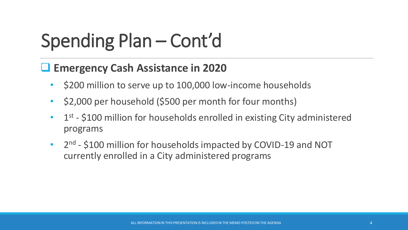# Spending Plan – Cont'd

### ❑ **Emergency Cash Assistance in 2020**

- \$200 million to serve up to 100,000 low-income households
- \$2,000 per household (\$500 per month for four months)
- 1<sup>st</sup> \$100 million for households enrolled in existing City administered programs
- 2<sup>nd</sup> \$100 million for households impacted by COVID-19 and NOT currently enrolled in a City administered programs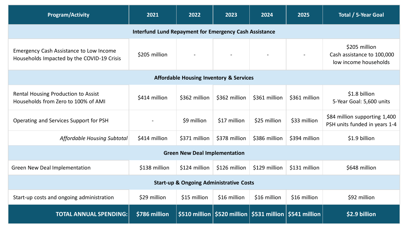| <b>Program/Activity</b>                                                                      | 2021          | 2022          | 2023          | 2024                                                                            | 2025          | Total / 5-Year Goal                                                  |
|----------------------------------------------------------------------------------------------|---------------|---------------|---------------|---------------------------------------------------------------------------------|---------------|----------------------------------------------------------------------|
| <b>Interfund Lund Repayment for Emergency Cash Assistance</b>                                |               |               |               |                                                                                 |               |                                                                      |
| <b>Emergency Cash Assistance to Low Income</b><br>Households Impacted by the COVID-19 Crisis | \$205 million |               |               |                                                                                 |               | \$205 million<br>Cash assistance to 100,000<br>low income households |
| <b>Affordable Housing Inventory &amp; Services</b>                                           |               |               |               |                                                                                 |               |                                                                      |
| Rental Housing Production to Assist<br>Households from Zero to 100% of AMI                   | \$414 million | \$362 million | \$362 million | \$361 million                                                                   | \$361 million | \$1.8 billion<br>5-Year Goal: 5,600 units                            |
| Operating and Services Support for PSH                                                       |               | \$9 million   | \$17 million  | \$25 million                                                                    | \$33 million  | \$84 million supporting 1,400<br>PSH units funded in years 1-4       |
| <b>Affordable Housing Subtotal</b>                                                           | \$414 million | \$371 million | \$378 million | \$386 million                                                                   | \$394 million | \$1.9 billion                                                        |
| <b>Green New Deal Implementation</b>                                                         |               |               |               |                                                                                 |               |                                                                      |
| <b>Green New Deal Implementation</b>                                                         | \$138 million | \$124 million | \$126 million | \$129 million                                                                   | \$131 million | \$648 million                                                        |
| <b>Start-up &amp; Ongoing Administrative Costs</b>                                           |               |               |               |                                                                                 |               |                                                                      |
| Start-up costs and ongoing administration                                                    | \$29 million  | \$15 million  | \$16 million  | \$16 million                                                                    | \$16 million  | \$92 million                                                         |
| <b>TOTAL ANNUAL SPENDING:</b>                                                                | \$786 million |               |               | \$510 million $\vert$ \$520 million $\vert$ \$531 million $\vert$ \$541 million |               | \$2.9 billion                                                        |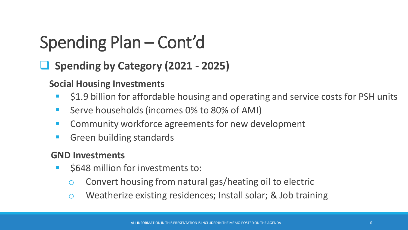### Spending Plan – Cont'd

### ❑ **Spending by Category (2021 - 2025)**

#### **Social Housing Investments**

- \$1.9 billion for affordable housing and operating and service costs for PSH units
- Serve households (incomes 0% to 80% of AMI)
- Community workforce agreements for new development
- Green building standards

#### **GND Investments**

- \$648 million for investments to:
	- o Convert housing from natural gas/heating oil to electric
	- o Weatherize existing residences; Install solar; & Job training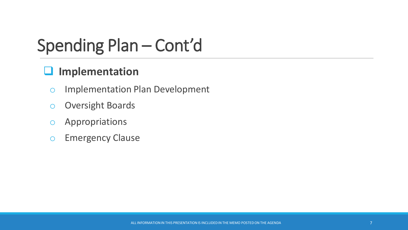### Spending Plan – Cont'd

### ❑ **Implementation**

- o Implementation Plan Development
- o Oversight Boards
- o Appropriations
- o Emergency Clause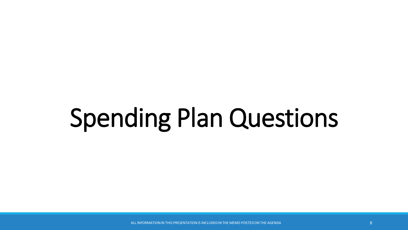# Spending Plan Questions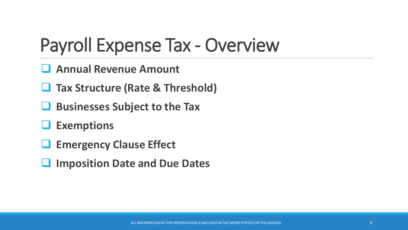## Payroll Expense Tax - Overview

- ❑ **Annual Revenue Amount**
- ❑ **Tax Structure (Rate & Threshold)**
- ❑ **Businesses Subject to the Tax**
- ❑ **Exemptions**
- ❑ **Emergency Clause Effect**
- ❑ **Imposition Date and Due Dates**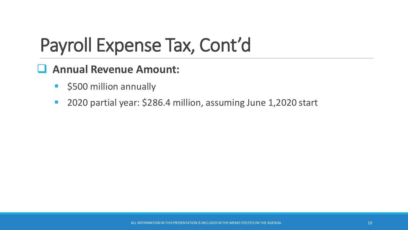### ❑ **Annual Revenue Amount:**

- \$500 million annually
- 2020 partial year: \$286.4 million, assuming June 1,2020 start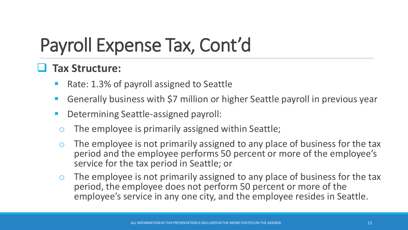### ❑ **Tax Structure:**

- Rate: 1.3% of payroll assigned to Seattle
- Generally business with \$7 million or higher Seattle payroll in previous year
- Determining Seattle-assigned payroll:
	- The employee is primarily assigned within Seattle;
	- The employee is not primarily assigned to any place of business for the tax period and the employee performs 50 percent or more of the employee's service for the tax period in Seattle; or
- o The employee is not primarily assigned to any place of business for the tax period, the employee does not perform 50 percent or more of the employee's service in any one city, and the employee resides in Seattle.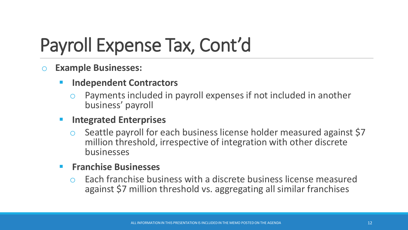#### o **Example Businesses:**

- **Independent Contractors** 
	- Payments included in payroll expenses if not included in another business' payroll

#### **Integrated Enterprises**

Seattle payroll for each business license holder measured against \$7 million threshold, irrespective of integration with other discrete businesses

#### ▪ **Franchise Businesses**

Each franchise business with a discrete business license measured against \$7 million threshold vs. aggregating all similar franchises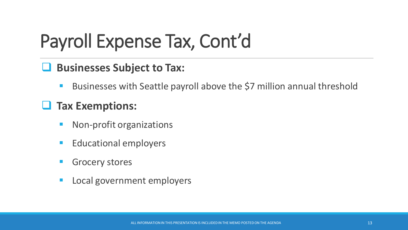### ❑ **Businesses Subject to Tax:**

Businesses with Seattle payroll above the \$7 million annual threshold

### ❑ **Tax Exemptions:**

- Non-profit organizations
- Educational employers
- **Grocery stores**
- Local government employers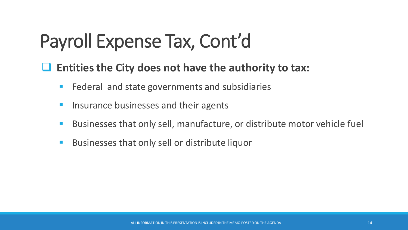### ❑ **Entities the City does not have the authority to tax:**

- Federal and state governments and subsidiaries
- Insurance businesses and their agents
- Businesses that only sell, manufacture, or distribute motor vehicle fuel
- Businesses that only sell or distribute liquor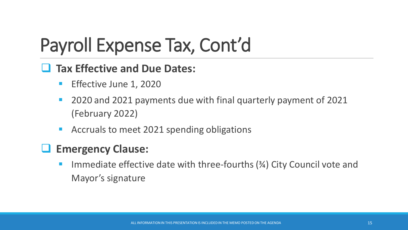### ❑ **Tax Effective and Due Dates:**

- **E** Effective June 1, 2020
- 2020 and 2021 payments due with final quarterly payment of 2021 (February 2022)
- Accruals to meet 2021 spending obligations

### ❑ **Emergency Clause:**

Immediate effective date with three-fourths  $(3/4)$  City Council vote and Mayor's signature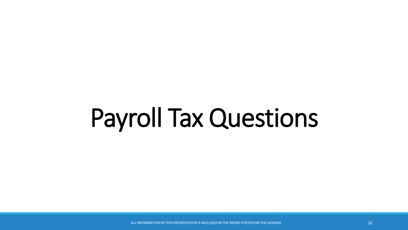# Payroll Tax Questions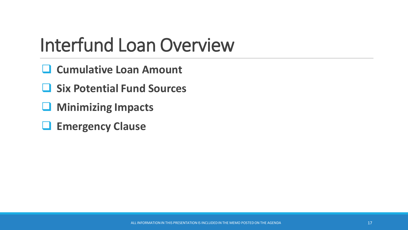## Interfund Loan Overview

- ❑ **Cumulative Loan Amount**
- ❑ **Six Potential Fund Sources**
- ❑ **Minimizing Impacts**
- ❑ **Emergency Clause**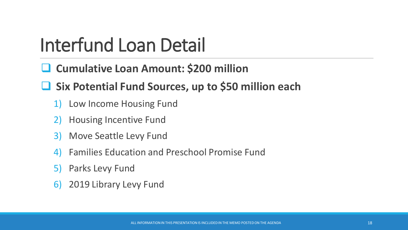# Interfund Loan Detail

- ❑ **Cumulative Loan Amount: \$200 million**
- ❑ **Six Potential Fund Sources, up to \$50 million each**
	- 1) Low Income Housing Fund
	- 2) Housing Incentive Fund
	- 3) Move Seattle Levy Fund
	- 4) Families Education and Preschool Promise Fund
	- 5) Parks Levy Fund
	- 6) 2019 Library Levy Fund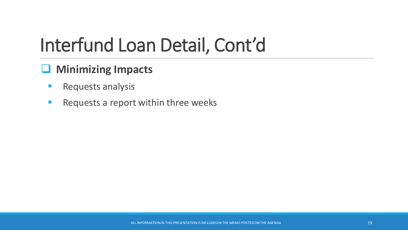# Interfund Loan Detail, Cont'd

### ❑ **Minimizing Impacts**

- **Requests analysis**
- Requests a report within three weeks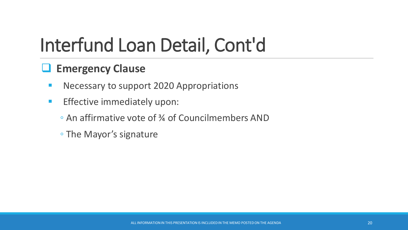# Interfund Loan Detail, Cont'd

### ❑ **Emergency Clause**

- **E** Necessary to support 2020 Appropriations
- **Effective immediately upon:** 
	- An affirmative vote of ¾ of Councilmembers AND
	- The Mayor's signature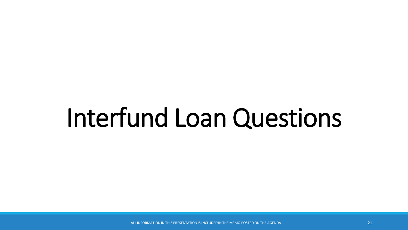# Interfund Loan Questions